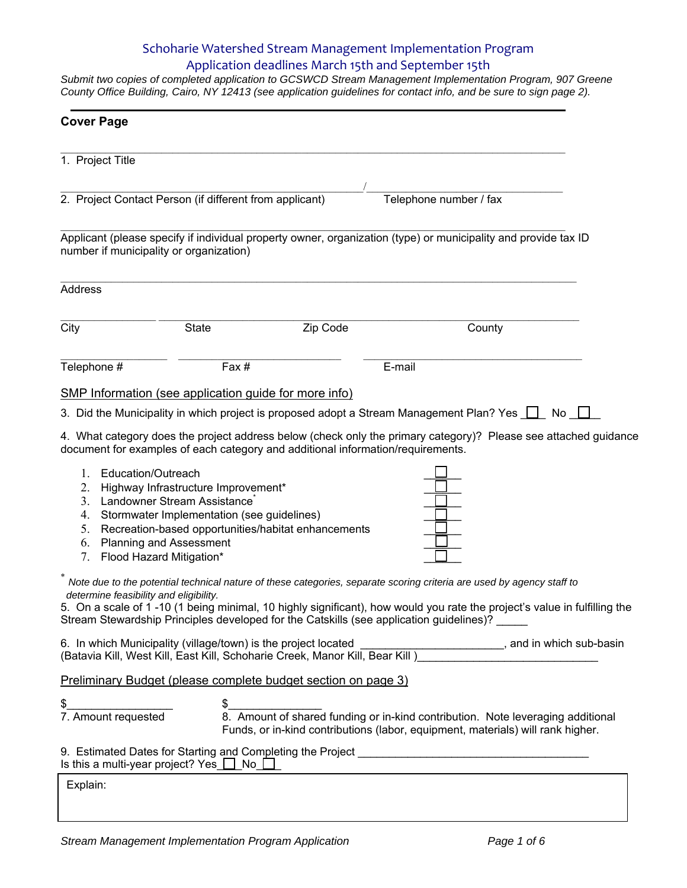## Schoharie Watershed Stream Management Implementation Program Application deadlines March 15th and September 15th

*Submit two copies of completed application to GCSWCD Stream Management Implementation Program, 907 Greene County Office Building, Cairo, NY 12413 (see application guidelines for contact info, and be sure to sign page 2).* 

| <b>Cover Page</b>                                       |                                                                                                                                                |                                                                                                                                        |                                                                                                                                                                                                                                                                                                                                              |  |  |
|---------------------------------------------------------|------------------------------------------------------------------------------------------------------------------------------------------------|----------------------------------------------------------------------------------------------------------------------------------------|----------------------------------------------------------------------------------------------------------------------------------------------------------------------------------------------------------------------------------------------------------------------------------------------------------------------------------------------|--|--|
| 1. Project Title                                        |                                                                                                                                                |                                                                                                                                        |                                                                                                                                                                                                                                                                                                                                              |  |  |
| 2. Project Contact Person (if different from applicant) |                                                                                                                                                |                                                                                                                                        | Telephone number / fax                                                                                                                                                                                                                                                                                                                       |  |  |
| number if municipality or organization)                 |                                                                                                                                                |                                                                                                                                        | Applicant (please specify if individual property owner, organization (type) or municipality and provide tax ID                                                                                                                                                                                                                               |  |  |
| <b>Address</b>                                          |                                                                                                                                                |                                                                                                                                        |                                                                                                                                                                                                                                                                                                                                              |  |  |
| City                                                    | <b>State</b>                                                                                                                                   | Zip Code                                                                                                                               | County                                                                                                                                                                                                                                                                                                                                       |  |  |
| Telephone #                                             | Fax#                                                                                                                                           |                                                                                                                                        | E-mail                                                                                                                                                                                                                                                                                                                                       |  |  |
|                                                         | <b>SMP Information (see application guide for more info)</b>                                                                                   |                                                                                                                                        |                                                                                                                                                                                                                                                                                                                                              |  |  |
|                                                         |                                                                                                                                                |                                                                                                                                        | 3. Did the Municipality in which project is proposed adopt a Stream Management Plan? Yes $\square$ No $\square$                                                                                                                                                                                                                              |  |  |
| Education/Outreach<br>1.<br>2.<br>4.<br>5.<br>6.        | Highway Infrastructure Improvement*<br>3. Landowner Stream Assistance<br>Stormwater Implementation (see guidelines)<br>Planning and Assessment | document for examples of each category and additional information/requirements.<br>Recreation-based opportunities/habitat enhancements | 4. What category does the project address below (check only the primary category)? Please see attached guidance                                                                                                                                                                                                                              |  |  |
| 7.<br>determine feasibility and eligibility.            | Flood Hazard Mitigation*                                                                                                                       |                                                                                                                                        | Note due to the potential technical nature of these categories, separate scoring criteria are used by agency staff to<br>5. On a scale of 1-10 (1 being minimal, 10 highly significant), how would you rate the project's value in fulfilling the<br>Stream Stewardship Principles developed for the Catskills (see application guidelines)? |  |  |
|                                                         |                                                                                                                                                |                                                                                                                                        | 6. In which Municipality (village/town) is the project located _________________________, and in which sub-basin (Batavia Kill, West Kill, East Kill, Schoharie Creek, Manor Kill, Bear Kill)                                                                                                                                                |  |  |
|                                                         |                                                                                                                                                | <b>Preliminary Budget (please complete budget section on page 3)</b>                                                                   |                                                                                                                                                                                                                                                                                                                                              |  |  |
| \$<br>\$<br>7. Amount requested                         | \$                                                                                                                                             |                                                                                                                                        | 8. Amount of shared funding or in-kind contribution. Note leveraging additional<br>Funds, or in-kind contributions (labor, equipment, materials) will rank higher.                                                                                                                                                                           |  |  |
|                                                         |                                                                                                                                                |                                                                                                                                        |                                                                                                                                                                                                                                                                                                                                              |  |  |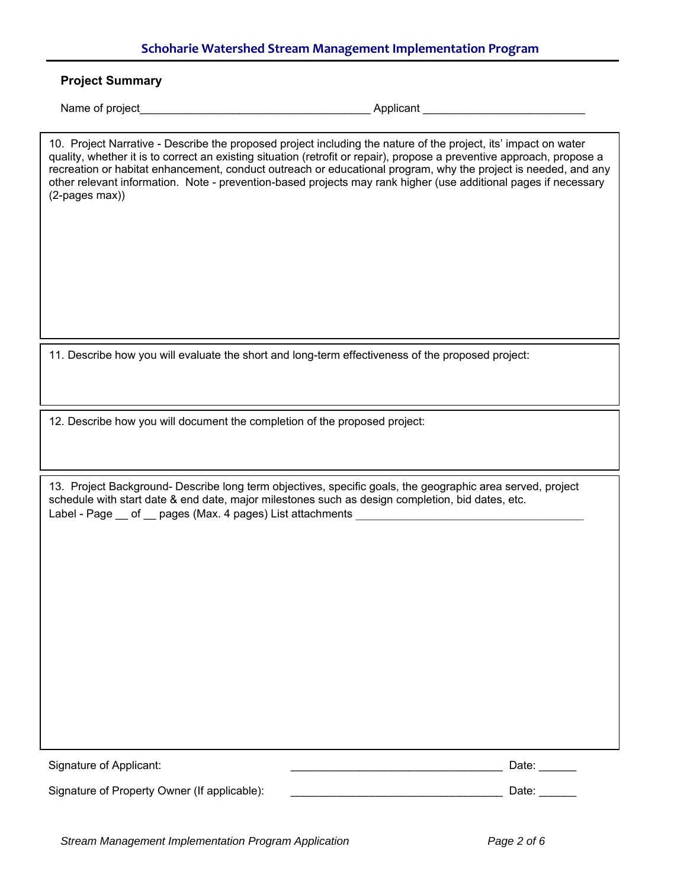# **Schoharie Watershed Stream Management Implementation Program**

| (2-pages max))                                                             | 10. Project Narrative - Describe the proposed project including the nature of the project, its' impact on water<br>quality, whether it is to correct an existing situation (retrofit or repair), propose a preventive approach, propose a<br>recreation or habitat enhancement, conduct outreach or educational program, why the project is needed, and any<br>other relevant information. Note - prevention-based projects may rank higher (use additional pages if necessary |
|----------------------------------------------------------------------------|--------------------------------------------------------------------------------------------------------------------------------------------------------------------------------------------------------------------------------------------------------------------------------------------------------------------------------------------------------------------------------------------------------------------------------------------------------------------------------|
|                                                                            |                                                                                                                                                                                                                                                                                                                                                                                                                                                                                |
|                                                                            | 11. Describe how you will evaluate the short and long-term effectiveness of the proposed project:                                                                                                                                                                                                                                                                                                                                                                              |
| 12. Describe how you will document the completion of the proposed project: |                                                                                                                                                                                                                                                                                                                                                                                                                                                                                |
|                                                                            | 13. Project Background- Describe long term objectives, specific goals, the geographic area served, project<br>schedule with start date & end date, major milestones such as design completion, bid dates, etc.<br>Label - Page __ of __ pages (Max. 4 pages) List attachments                                                                                                                                                                                                  |
|                                                                            |                                                                                                                                                                                                                                                                                                                                                                                                                                                                                |
|                                                                            |                                                                                                                                                                                                                                                                                                                                                                                                                                                                                |
|                                                                            |                                                                                                                                                                                                                                                                                                                                                                                                                                                                                |
|                                                                            |                                                                                                                                                                                                                                                                                                                                                                                                                                                                                |
| Signature of Applicant:                                                    | Date:                                                                                                                                                                                                                                                                                                                                                                                                                                                                          |
| Signature of Property Owner (If applicable):                               | Date: $\overline{\phantom{a}}$                                                                                                                                                                                                                                                                                                                                                                                                                                                 |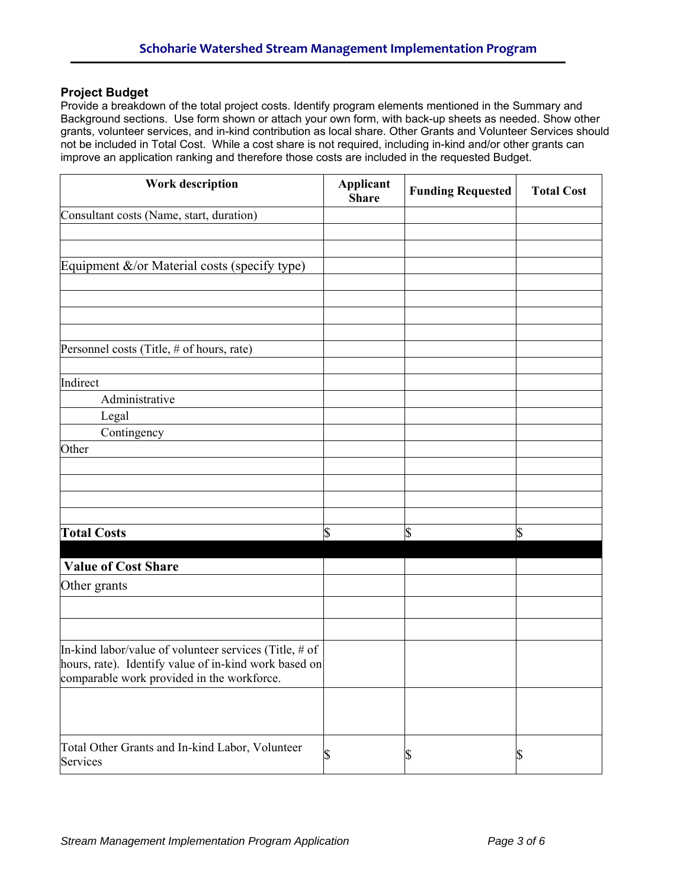## **Project Budget**

Provide a breakdown of the total project costs. Identify program elements mentioned in the Summary and Background sections. Use form shown or attach your own form, with back-up sheets as needed. Show other grants, volunteer services, and in-kind contribution as local share. Other Grants and Volunteer Services should not be included in Total Cost. While a cost share is not required, including in-kind and/or other grants can improve an application ranking and therefore those costs are included in the requested Budget.

| <b>Work description</b>                                                                                                                                         | Applicant<br><b>Share</b> | <b>Funding Requested</b> | <b>Total Cost</b> |
|-----------------------------------------------------------------------------------------------------------------------------------------------------------------|---------------------------|--------------------------|-------------------|
| Consultant costs (Name, start, duration)                                                                                                                        |                           |                          |                   |
|                                                                                                                                                                 |                           |                          |                   |
|                                                                                                                                                                 |                           |                          |                   |
| Equipment &/or Material costs (specify type)                                                                                                                    |                           |                          |                   |
|                                                                                                                                                                 |                           |                          |                   |
|                                                                                                                                                                 |                           |                          |                   |
|                                                                                                                                                                 |                           |                          |                   |
|                                                                                                                                                                 |                           |                          |                   |
| Personnel costs (Title, # of hours, rate)                                                                                                                       |                           |                          |                   |
|                                                                                                                                                                 |                           |                          |                   |
| Indirect                                                                                                                                                        |                           |                          |                   |
| Administrative                                                                                                                                                  |                           |                          |                   |
| Legal                                                                                                                                                           |                           |                          |                   |
| Contingency                                                                                                                                                     |                           |                          |                   |
| Other                                                                                                                                                           |                           |                          |                   |
|                                                                                                                                                                 |                           |                          |                   |
|                                                                                                                                                                 |                           |                          |                   |
|                                                                                                                                                                 |                           |                          |                   |
|                                                                                                                                                                 |                           |                          |                   |
| <b>Total Costs</b>                                                                                                                                              | \$                        | \$                       | \$                |
|                                                                                                                                                                 |                           |                          |                   |
| <b>Value of Cost Share</b>                                                                                                                                      |                           |                          |                   |
| Other grants                                                                                                                                                    |                           |                          |                   |
|                                                                                                                                                                 |                           |                          |                   |
|                                                                                                                                                                 |                           |                          |                   |
|                                                                                                                                                                 |                           |                          |                   |
| In-kind labor/value of volunteer services (Title, $#$ of<br>hours, rate). Identify value of in-kind work based on<br>comparable work provided in the workforce. |                           |                          |                   |
|                                                                                                                                                                 |                           |                          |                   |
|                                                                                                                                                                 |                           |                          |                   |
| Total Other Grants and In-kind Labor, Volunteer<br>Services                                                                                                     | \$                        | \$                       | \$                |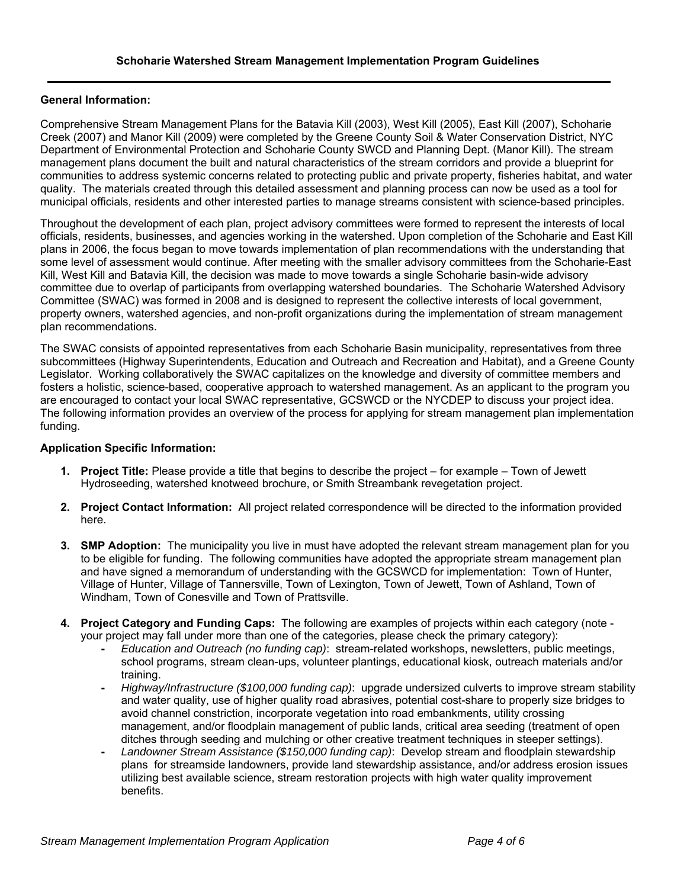### **General Information:**

Comprehensive Stream Management Plans for the Batavia Kill (2003), West Kill (2005), East Kill (2007), Schoharie Creek (2007) and Manor Kill (2009) were completed by the Greene County Soil & Water Conservation District, NYC Department of Environmental Protection and Schoharie County SWCD and Planning Dept. (Manor Kill). The stream management plans document the built and natural characteristics of the stream corridors and provide a blueprint for communities to address systemic concerns related to protecting public and private property, fisheries habitat, and water quality. The materials created through this detailed assessment and planning process can now be used as a tool for municipal officials, residents and other interested parties to manage streams consistent with science-based principles.

Throughout the development of each plan, project advisory committees were formed to represent the interests of local officials, residents, businesses, and agencies working in the watershed. Upon completion of the Schoharie and East Kill plans in 2006, the focus began to move towards implementation of plan recommendations with the understanding that some level of assessment would continue. After meeting with the smaller advisory committees from the Schoharie-East Kill, West Kill and Batavia Kill, the decision was made to move towards a single Schoharie basin-wide advisory committee due to overlap of participants from overlapping watershed boundaries. The Schoharie Watershed Advisory Committee (SWAC) was formed in 2008 and is designed to represent the collective interests of local government, property owners, watershed agencies, and non-profit organizations during the implementation of stream management plan recommendations.

The SWAC consists of appointed representatives from each Schoharie Basin municipality, representatives from three subcommittees (Highway Superintendents, Education and Outreach and Recreation and Habitat), and a Greene County Legislator. Working collaboratively the SWAC capitalizes on the knowledge and diversity of committee members and fosters a holistic, science-based, cooperative approach to watershed management. As an applicant to the program you are encouraged to contact your local SWAC representative, GCSWCD or the NYCDEP to discuss your project idea. The following information provides an overview of the process for applying for stream management plan implementation funding.

#### **Application Specific Information:**

- **1. Project Title:** Please provide a title that begins to describe the project for example Town of Jewett Hydroseeding, watershed knotweed brochure, or Smith Streambank revegetation project.
- **2. Project Contact Information:** All project related correspondence will be directed to the information provided here.
- **3. SMP Adoption:** The municipality you live in must have adopted the relevant stream management plan for you to be eligible for funding. The following communities have adopted the appropriate stream management plan and have signed a memorandum of understanding with the GCSWCD for implementation: Town of Hunter, Village of Hunter, Village of Tannersville, Town of Lexington, Town of Jewett, Town of Ashland, Town of Windham, Town of Conesville and Town of Prattsville.
- **4. Project Category and Funding Caps:** The following are examples of projects within each category (note your project may fall under more than one of the categories, please check the primary category):
	- *Education and Outreach (no funding cap)*: stream-related workshops, newsletters, public meetings, school programs, stream clean-ups, volunteer plantings, educational kiosk, outreach materials and/or training.
	- *Highway/Infrastructure (\$100,000 funding cap)*: upgrade undersized culverts to improve stream stability and water quality, use of higher quality road abrasives, potential cost-share to properly size bridges to avoid channel constriction, incorporate vegetation into road embankments, utility crossing management, and/or floodplain management of public lands, critical area seeding (treatment of open ditches through seeding and mulching or other creative treatment techniques in steeper settings).
	- *Landowner Stream Assistance (\$150,000 funding cap)*: Develop stream and floodplain stewardship plans for streamside landowners, provide land stewardship assistance, and/or address erosion issues utilizing best available science, stream restoration projects with high water quality improvement benefits.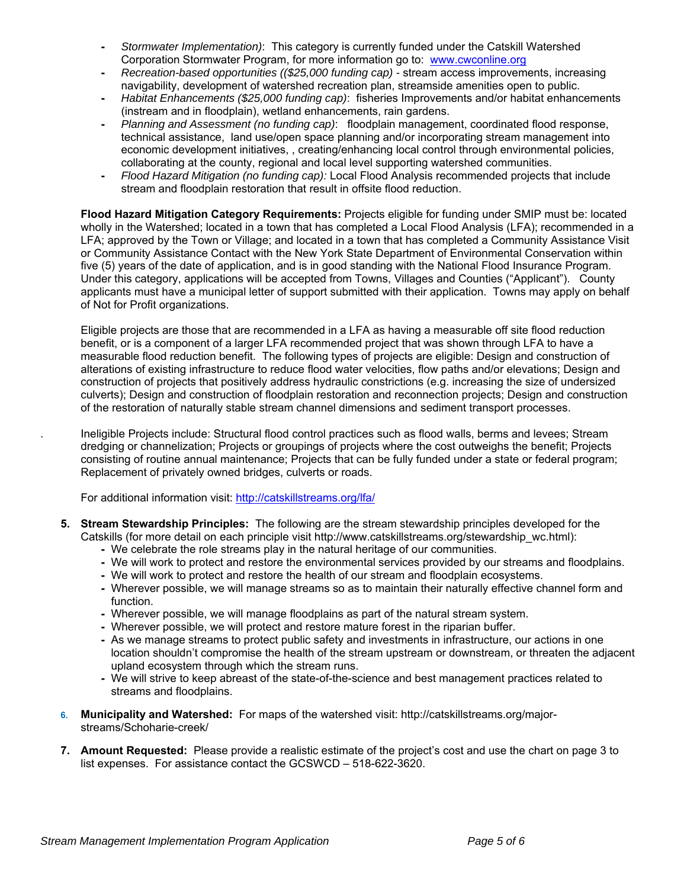- *Stormwater Implementation)*: This category is currently funded under the Catskill Watershed Corporation Stormwater Program, for more information go to: www.cwconline.org
- *Recreation-based opportunities ((\$25,000 funding cap)* stream access improvements, increasing navigability, development of watershed recreation plan, streamside amenities open to public.
- *Habitat Enhancements (\$25,000 funding cap)*: fisheries Improvements and/or habitat enhancements (instream and in floodplain), wetland enhancements, rain gardens.
- *Planning and Assessment (no funding cap)*: floodplain management, coordinated flood response, technical assistance, land use/open space planning and/or incorporating stream management into economic development initiatives, , creating/enhancing local control through environmental policies, collaborating at the county, regional and local level supporting watershed communities.
- *Flood Hazard Mitigation (no funding cap):* Local Flood Analysis recommended projects that include stream and floodplain restoration that result in offsite flood reduction.

**Flood Hazard Mitigation Category Requirements:** Projects eligible for funding under SMIP must be: located wholly in the Watershed; located in a town that has completed a Local Flood Analysis (LFA); recommended in a LFA; approved by the Town or Village; and located in a town that has completed a Community Assistance Visit or Community Assistance Contact with the New York State Department of Environmental Conservation within five (5) years of the date of application, and is in good standing with the National Flood Insurance Program. Under this category, applications will be accepted from Towns, Villages and Counties ("Applicant"). County applicants must have a municipal letter of support submitted with their application. Towns may apply on behalf of Not for Profit organizations.

Eligible projects are those that are recommended in a LFA as having a measurable off site flood reduction benefit, or is a component of a larger LFA recommended project that was shown through LFA to have a measurable flood reduction benefit. The following types of projects are eligible: Design and construction of alterations of existing infrastructure to reduce flood water velocities, flow paths and/or elevations; Design and construction of projects that positively address hydraulic constrictions (e.g. increasing the size of undersized culverts); Design and construction of floodplain restoration and reconnection projects; Design and construction of the restoration of naturally stable stream channel dimensions and sediment transport processes.

. Ineligible Projects include: Structural flood control practices such as flood walls, berms and levees; Stream dredging or channelization; Projects or groupings of projects where the cost outweighs the benefit; Projects consisting of routine annual maintenance; Projects that can be fully funded under a state or federal program; Replacement of privately owned bridges, culverts or roads.

For additional information visit: http://catskillstreams.org/lfa/

- **5. Stream Stewardship Principles:** The following are the stream stewardship principles developed for the Catskills (for more detail on each principle visit http://www.catskillstreams.org/stewardship\_wc.html):
	- We celebrate the role streams play in the natural heritage of our communities.
	- We will work to protect and restore the environmental services provided by our streams and floodplains.
	- We will work to protect and restore the health of our stream and floodplain ecosystems.
	- Wherever possible, we will manage streams so as to maintain their naturally effective channel form and function.
	- Wherever possible, we will manage floodplains as part of the natural stream system.
	- Wherever possible, we will protect and restore mature forest in the riparian buffer.
	- As we manage streams to protect public safety and investments in infrastructure, our actions in one location shouldn't compromise the health of the stream upstream or downstream, or threaten the adjacent upland ecosystem through which the stream runs.
	- We will strive to keep abreast of the state-of-the-science and best management practices related to streams and floodplains.
- **6. Municipality and Watershed:** For maps of the watershed visit: http://catskillstreams.org/majorstreams/Schoharie-creek/
- **7. Amount Requested:** Please provide a realistic estimate of the project's cost and use the chart on page 3 to list expenses. For assistance contact the GCSWCD – 518-622-3620.